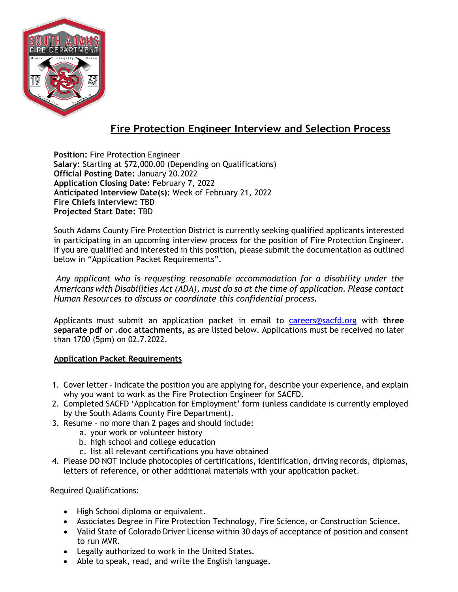

# **Fire Protection Engineer Interview and Selection Process**

**Position:** Fire Protection Engineer **Salary:** Starting at \$72,000.00 (Depending on Qualifications) **Official Posting Date:** January 20.2022 **Application Closing Date:** February 7, 2022 **Anticipated Interview Date(s):** Week of February 21, 2022 **Fire Chiefs Interview:** TBD **Projected Start Date:** TBD

South Adams County Fire Protection District is currently seeking qualified applicants interested in participating in an upcoming interview process for the position of Fire Protection Engineer. If you are qualified and interested in this position, please submit the documentation as outlined below in "Application Packet Requirements".

*Any applicant who is requesting reasonable accommodation for a disability under the Americans with Disabilities Act (ADA), must do so at the time of application. Please contact Human Resources to discuss or coordinate this confidential process.*

Applicants must submit an application packet in email to [careers@sacfd.org](mailto:careers@sacfd.org) with **three separate pdf or .doc attachments,** as are listed below. Applications must be received no later than 1700 (5pm) on 02.7.2022.

# **Application Packet Requirements**

- 1. Cover letter Indicate the position you are applying for, describe your experience, and explain why you want to work as the Fire Protection Engineer for SACFD.
- 2. Completed SACFD 'Application for Employment' form (unless candidate is currently employed by the South Adams County Fire Department).
- 3. Resume no more than 2 pages and should include:
	- a. your work or volunteer history
	- b. high school and college education
	- c. list all relevant certifications you have obtained
- 4. Please DO NOT include photocopies of certifications, identification, driving records, diplomas, letters of reference, or other additional materials with your application packet.

Required Qualifications:

- High School diploma or equivalent.
- Associates Degree in Fire Protection Technology, Fire Science, or Construction Science.
- Valid State of Colorado Driver License within 30 days of acceptance of position and consent to run MVR.
- Legally authorized to work in the United States.
- Able to speak, read, and write the English language.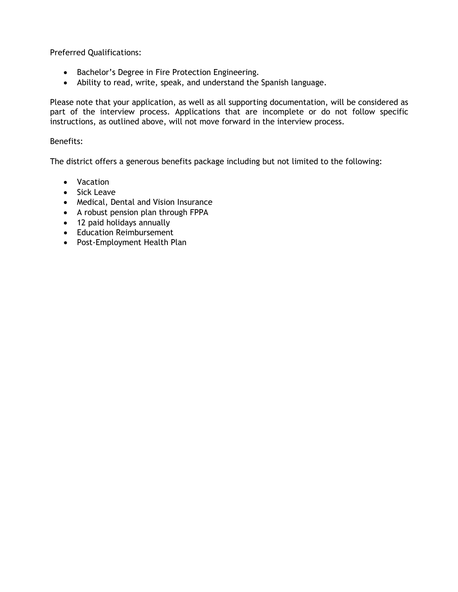Preferred Qualifications:

- Bachelor's Degree in Fire Protection Engineering.
- Ability to read, write, speak, and understand the Spanish language.

Please note that your application, as well as all supporting documentation, will be considered as part of the interview process. Applications that are incomplete or do not follow specific instructions, as outlined above, will not move forward in the interview process.

## Benefits:

The district offers a generous benefits package including but not limited to the following:

- Vacation
- Sick Leave
- Medical, Dental and Vision Insurance
- A robust pension plan through FPPA
- 12 paid holidays annually
- Education Reimbursement
- Post-Employment Health Plan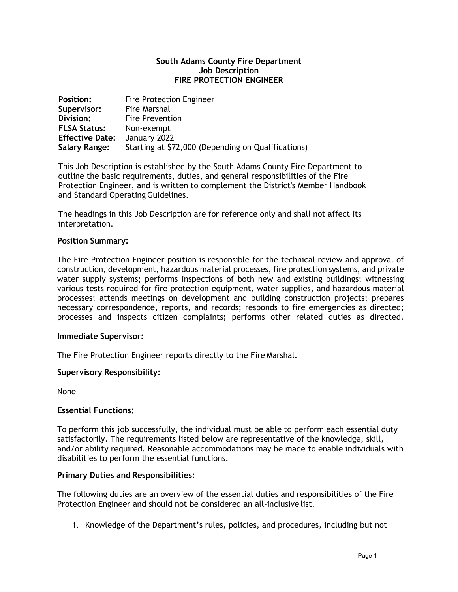#### **South Adams County Fire Department Job Description FIRE PROTECTION ENGINEER**

| <b>Position:</b>       | <b>Fire Protection Engineer</b>                    |
|------------------------|----------------------------------------------------|
| Supervisor:            | Fire Marshal                                       |
| Division:              | <b>Fire Prevention</b>                             |
| <b>FLSA Status:</b>    | Non-exempt                                         |
| <b>Effective Date:</b> | January 2022                                       |
| <b>Salary Range:</b>   | Starting at \$72,000 (Depending on Qualifications) |

This Job Description is established by the South Adams County Fire Department to outline the basic requirements, duties, and general responsibilities of the Fire Protection Engineer, and is written to complement the District's Member Handbook and Standard Operating Guidelines.

The headings in this Job Description are for reference only and shall not affect its interpretation.

#### **Position Summary:**

The Fire Protection Engineer position is responsible for the technical review and approval of construction, development, hazardous material processes, fire protection systems, and private water supply systems; performs inspections of both new and existing buildings; witnessing various tests required for fire protection equipment, water supplies, and hazardous material processes; attends meetings on development and building construction projects; prepares necessary correspondence, reports, and records; responds to fire emergencies as directed; processes and inspects citizen complaints; performs other related duties as directed.

#### **Immediate Supervisor:**

The Fire Protection Engineer reports directly to the Fire Marshal.

#### **Supervisory Responsibility:**

None

#### **Essential Functions:**

To perform this job successfully, the individual must be able to perform each essential duty satisfactorily. The requirements listed below are representative of the knowledge, skill, and/or ability required. Reasonable accommodations may be made to enable individuals with disabilities to perform the essential functions.

#### **Primary Duties and Responsibilities:**

The following duties are an overview of the essential duties and responsibilities of the Fire Protection Engineer and should not be considered an all-inclusive list.

1. Knowledge of the Department's rules, policies, and procedures, including but not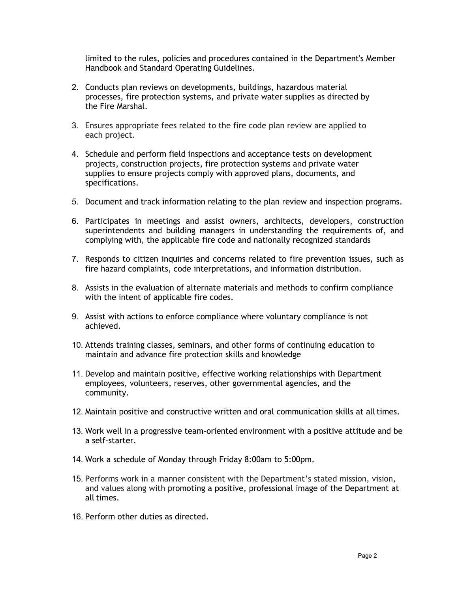limited to the rules, policies and procedures contained in the Department's Member Handbook and Standard Operating Guidelines.

- 2. Conducts plan reviews on developments, buildings, hazardous material processes, fire protection systems, and private water supplies as directed by the Fire Marshal.
- 3. Ensures appropriate fees related to the fire code plan review are applied to each project.
- 4. Schedule and perform field inspections and acceptance tests on development projects, construction projects, fire protection systems and private water supplies to ensure projects comply with approved plans, documents, and specifications.
- 5. Document and track information relating to the plan review and inspection programs.
- 6. Participates in meetings and assist owners, architects, developers, construction superintendents and building managers in understanding the requirements of, and complying with, the applicable fire code and nationally recognized standards
- 7. Responds to citizen inquiries and concerns related to fire prevention issues, such as fire hazard complaints, code interpretations, and information distribution.
- 8. Assists in the evaluation of alternate materials and methods to confirm compliance with the intent of applicable fire codes.
- 9. Assist with actions to enforce compliance where voluntary compliance is not achieved.
- 10. Attends training classes, seminars, and other forms of continuing education to maintain and advance fire protection skills and knowledge
- 11. Develop and maintain positive, effective working relationships with Department employees, volunteers, reserves, other governmental agencies, and the community.
- 12. Maintain positive and constructive written and oral communication skills at alltimes.
- 13. Work well in a progressive team-oriented environment with a positive attitude and be a self-starter.
- 14. Work a schedule of Monday through Friday 8:00am to 5:00pm.
- 15. Performs work in a manner consistent with the Department's stated mission, vision, and values along with promoting a positive, professional image of the Department at all times.
- 16. Perform other duties as directed.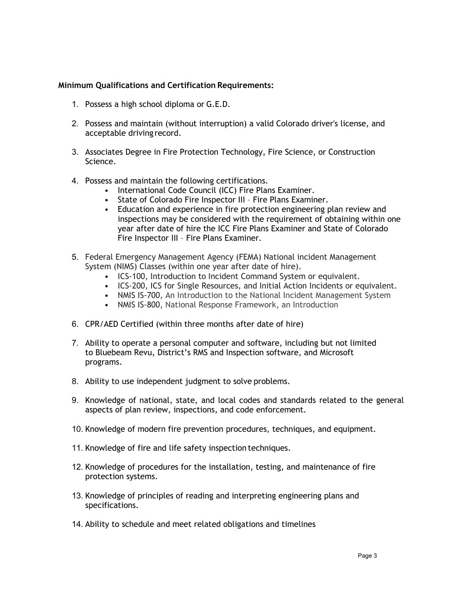## **Minimum Qualifications and Certification Requirements:**

- 1. Possess a high school diploma or G.E.D.
- 2. Possess and maintain (without interruption) a valid Colorado driver's license, and acceptable driving record.
- 3. Associates Degree in Fire Protection Technology, Fire Science, or Construction Science.
- 4. Possess and maintain the following certifications.
	- International Code Council (ICC) Fire Plans Examiner.
	- State of Colorado Fire Inspector III Fire Plans Examiner.
	- Education and experience in fire protection engineering plan review and inspections may be considered with the requirement of obtaining within one year after date of hire the ICC Fire Plans Examiner and State of Colorado Fire Inspector III – Fire Plans Examiner.
- 5. Federal Emergency Management Agency (FEMA) National incident Management System (NIMS) Classes (within one year after date of hire).
	- ICS-100, Introduction to Incident Command System or equivalent.
	- ICS-200, ICS for Single Resources, and Initial Action Incidents or equivalent.
	- NMIS IS-700, An Introduction to the National Incident Management System
	- NMIS IS-800, National Response Framework, an Introduction
- 6. CPR/AED Certified (within three months after date of hire)
- 7. Ability to operate a personal computer and software, including but not limited to Bluebeam Revu, District's RMS and Inspection software, and Microsoft programs.
- 8. Ability to use independent judgment to solve problems.
- 9. Knowledge of national, state, and local codes and standards related to the general aspects of plan review, inspections, and code enforcement.
- 10. Knowledge of modern fire prevention procedures, techniques, and equipment.
- 11. Knowledge of fire and life safety inspection techniques.
- 12. Knowledge of procedures for the installation, testing, and maintenance of fire protection systems.
- 13. Knowledge of principles of reading and interpreting engineering plans and specifications.
- 14. Ability to schedule and meet related obligations and timelines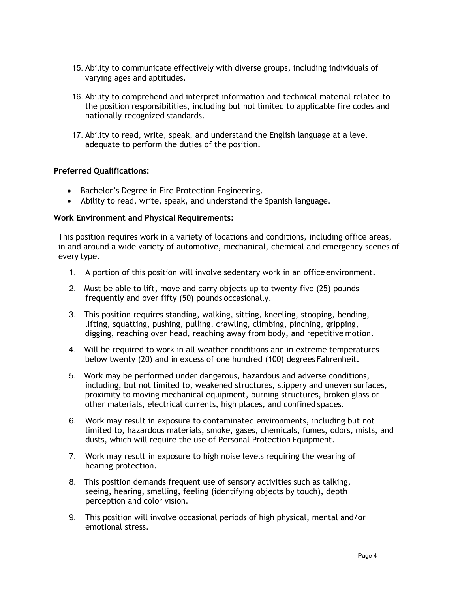- 15. Ability to communicate effectively with diverse groups, including individuals of varying ages and aptitudes.
- 16. Ability to comprehend and interpret information and technical material related to the position responsibilities, including but not limited to applicable fire codes and nationally recognized standards.
- 17. Ability to read, write, speak, and understand the English language at a level adequate to perform the duties of the position.

# **Preferred Qualifications:**

- Bachelor's Degree in Fire Protection Engineering.
- Ability to read, write, speak, and understand the Spanish language.

#### **Work Environment and Physical Requirements:**

This position requires work in a variety of locations and conditions, including office areas, in and around a wide variety of automotive, mechanical, chemical and emergency scenes of every type.

- 1. A portion of this position will involve sedentary work in an office environment.
- 2. Must be able to lift, move and carry objects up to twenty-five (25) pounds frequently and over fifty (50) pounds occasionally.
- 3. This position requires standing, walking, sitting, kneeling, stooping, bending, lifting, squatting, pushing, pulling, crawling, climbing, pinching, gripping, digging, reaching over head, reaching away from body, and repetitive motion.
- 4. Will be required to work in all weather conditions and in extreme temperatures below twenty (20) and in excess of one hundred (100) degrees Fahrenheit.
- 5. Work may be performed under dangerous, hazardous and adverse conditions, including, but not limited to, weakened structures, slippery and uneven surfaces, proximity to moving mechanical equipment, burning structures, broken glass or other materials, electrical currents, high places, and confined spaces.
- 6. Work may result in exposure to contaminated environments, including but not limited to, hazardous materials, smoke, gases, chemicals, fumes, odors, mists, and dusts, which will require the use of Personal Protection Equipment.
- 7. Work may result in exposure to high noise levels requiring the wearing of hearing protection.
- 8. This position demands frequent use of sensory activities such as talking, seeing, hearing, smelling, feeling (identifying objects by touch), depth perception and color vision.
- 9. This position will involve occasional periods of high physical, mental and/or emotional stress.